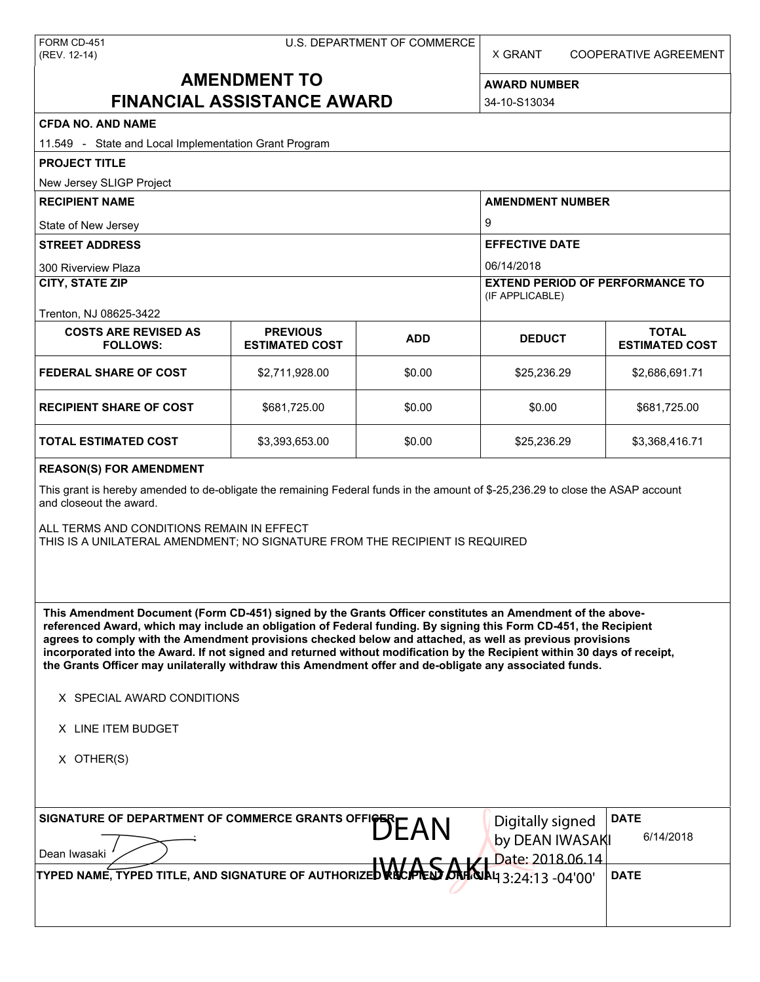X GRANT COOPERATIVE AGREEMENT

# **AMENDMENT TO FINANCIAL ASSISTANCE AWARD**

**AWARD NUMBER** 34-10-S13034

| <b>CFDA NO. AND NAME</b>                                                                                                                                                                                                                                                                                                                                                                                                                                                                                                                                                                                        |                                          |            |                                                                         |                                       |  |
|-----------------------------------------------------------------------------------------------------------------------------------------------------------------------------------------------------------------------------------------------------------------------------------------------------------------------------------------------------------------------------------------------------------------------------------------------------------------------------------------------------------------------------------------------------------------------------------------------------------------|------------------------------------------|------------|-------------------------------------------------------------------------|---------------------------------------|--|
| 11.549 - State and Local Implementation Grant Program                                                                                                                                                                                                                                                                                                                                                                                                                                                                                                                                                           |                                          |            |                                                                         |                                       |  |
| <b>PROJECT TITLE</b>                                                                                                                                                                                                                                                                                                                                                                                                                                                                                                                                                                                            |                                          |            |                                                                         |                                       |  |
| New Jersey SLIGP Project                                                                                                                                                                                                                                                                                                                                                                                                                                                                                                                                                                                        |                                          |            |                                                                         |                                       |  |
| <b>RECIPIENT NAME</b>                                                                                                                                                                                                                                                                                                                                                                                                                                                                                                                                                                                           |                                          |            | <b>AMENDMENT NUMBER</b><br>9<br><b>EFFECTIVE DATE</b>                   |                                       |  |
| State of New Jersey                                                                                                                                                                                                                                                                                                                                                                                                                                                                                                                                                                                             |                                          |            |                                                                         |                                       |  |
| <b>STREET ADDRESS</b>                                                                                                                                                                                                                                                                                                                                                                                                                                                                                                                                                                                           |                                          |            |                                                                         |                                       |  |
| 300 Riverview Plaza<br><b>CITY, STATE ZIP</b>                                                                                                                                                                                                                                                                                                                                                                                                                                                                                                                                                                   |                                          |            | 06/14/2018<br><b>EXTEND PERIOD OF PERFORMANCE TO</b><br>(IF APPLICABLE) |                                       |  |
| Trenton, NJ 08625-3422                                                                                                                                                                                                                                                                                                                                                                                                                                                                                                                                                                                          |                                          |            |                                                                         |                                       |  |
| <b>COSTS ARE REVISED AS</b><br><b>FOLLOWS:</b>                                                                                                                                                                                                                                                                                                                                                                                                                                                                                                                                                                  | <b>PREVIOUS</b><br><b>ESTIMATED COST</b> | <b>ADD</b> | <b>DEDUCT</b>                                                           | <b>TOTAL</b><br><b>ESTIMATED COST</b> |  |
| <b>FEDERAL SHARE OF COST</b>                                                                                                                                                                                                                                                                                                                                                                                                                                                                                                                                                                                    | \$2,711,928.00                           | \$0.00     | \$25,236.29                                                             | \$2,686,691.71                        |  |
| <b>RECIPIENT SHARE OF COST</b>                                                                                                                                                                                                                                                                                                                                                                                                                                                                                                                                                                                  | \$681,725.00                             | \$0.00     | \$0.00                                                                  | \$681,725.00                          |  |
| <b>TOTAL ESTIMATED COST</b>                                                                                                                                                                                                                                                                                                                                                                                                                                                                                                                                                                                     | \$3,393,653.00                           | \$0.00     | \$25,236.29                                                             | \$3,368,416.71                        |  |
| <b>REASON(S) FOR AMENDMENT</b>                                                                                                                                                                                                                                                                                                                                                                                                                                                                                                                                                                                  |                                          |            |                                                                         |                                       |  |
| This grant is hereby amended to de-obligate the remaining Federal funds in the amount of \$-25,236.29 to close the ASAP account<br>and closeout the award.<br>ALL TERMS AND CONDITIONS REMAIN IN EFFECT<br>THIS IS A UNILATERAL AMENDMENT; NO SIGNATURE FROM THE RECIPIENT IS REQUIRED                                                                                                                                                                                                                                                                                                                          |                                          |            |                                                                         |                                       |  |
| This Amendment Document (Form CD-451) signed by the Grants Officer constitutes an Amendment of the above-<br>referenced Award, which may include an obligation of Federal funding. By signing this Form CD-451, the Recipient<br>agrees to comply with the Amendment provisions checked below and attached, as well as previous provisions<br>incorporated into the Award. If not signed and returned without modification by the Recipient within 30 days of receipt,<br>the Grants Officer may unilaterally withdraw this Amendment offer and de-obligate any associated funds.<br>X SPECIAL AWARD CONDITIONS |                                          |            |                                                                         |                                       |  |
| X LINE ITEM BUDGET                                                                                                                                                                                                                                                                                                                                                                                                                                                                                                                                                                                              |                                          |            |                                                                         |                                       |  |
| X OTHER(S)                                                                                                                                                                                                                                                                                                                                                                                                                                                                                                                                                                                                      |                                          |            |                                                                         |                                       |  |
| SIGNATURE OF DEPARTMENT OF COMMERCE GRANTS OFFICERE AN<br>Dean Iwasaki                                                                                                                                                                                                                                                                                                                                                                                                                                                                                                                                          |                                          |            | Digitally signed<br>by DEAN IWASAKI<br>Date: 2018.06.14                 | <b>DATE</b><br>6/14/2018              |  |
| TYPED NAME, TYPED TITLE, AND SIGNATURE OF AUTHORIZED VECTTLED.                                                                                                                                                                                                                                                                                                                                                                                                                                                                                                                                                  |                                          |            | <b>AJA4 3:24:13 -04'00'</b>                                             | <b>DATE</b>                           |  |